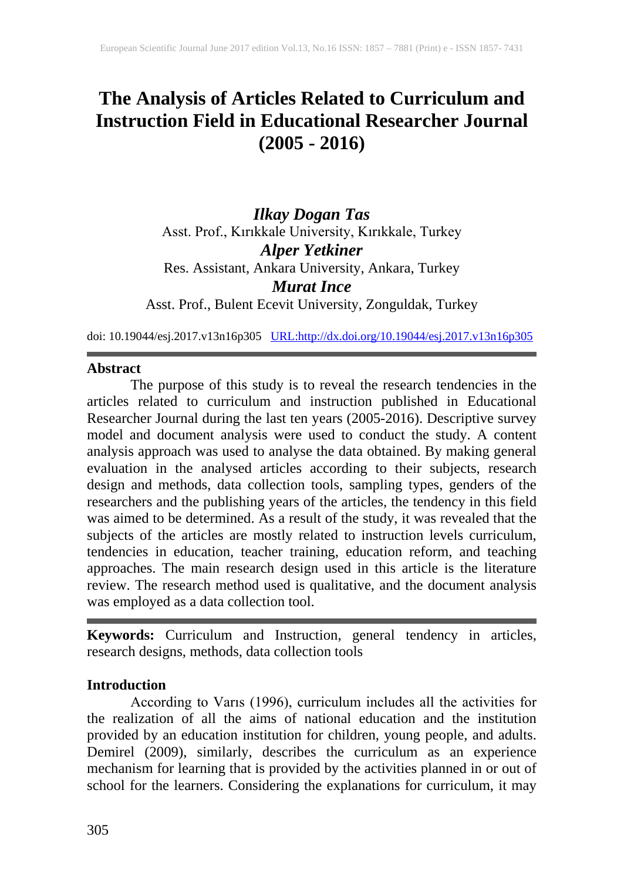# **The Analysis of Articles Related to Curriculum and Instruction Field in Educational Researcher Journal (2005 - 2016)**

*Ilkay Dogan Tas* Asst. Prof., Kırıkkale University, Kırıkkale, Turkey *Alper Yetkiner* Res. Assistant, Ankara University, Ankara, Turkey *Murat Ince* Asst. Prof., Bulent Ecevit University, Zonguldak, Turkey

doi: 10.19044/esj.2017.v13n16p305 [URL:http://dx.doi.org/10.19044/esj.2017.v13n16p305](http://dx.doi.org/10.19044/esj.2017.v13n16p305)

### **Abstract**

The purpose of this study is to reveal the research tendencies in the articles related to curriculum and instruction published in Educational Researcher Journal during the last ten years (2005-2016). Descriptive survey model and document analysis were used to conduct the study. A content analysis approach was used to analyse the data obtained. By making general evaluation in the analysed articles according to their subjects, research design and methods, data collection tools, sampling types, genders of the researchers and the publishing years of the articles, the tendency in this field was aimed to be determined. As a result of the study, it was revealed that the subjects of the articles are mostly related to instruction levels curriculum, tendencies in education, teacher training, education reform, and teaching approaches. The main research design used in this article is the literature review. The research method used is qualitative, and the document analysis was employed as a data collection tool.

**Keywords:** Curriculum and Instruction, general tendency in articles, research designs, methods, data collection tools

## **Introduction**

According to Varıs (1996), curriculum includes all the activities for the realization of all the aims of national education and the institution provided by an education institution for children, young people, and adults. Demirel (2009), similarly, describes the curriculum as an experience mechanism for learning that is provided by the activities planned in or out of school for the learners. Considering the explanations for curriculum, it may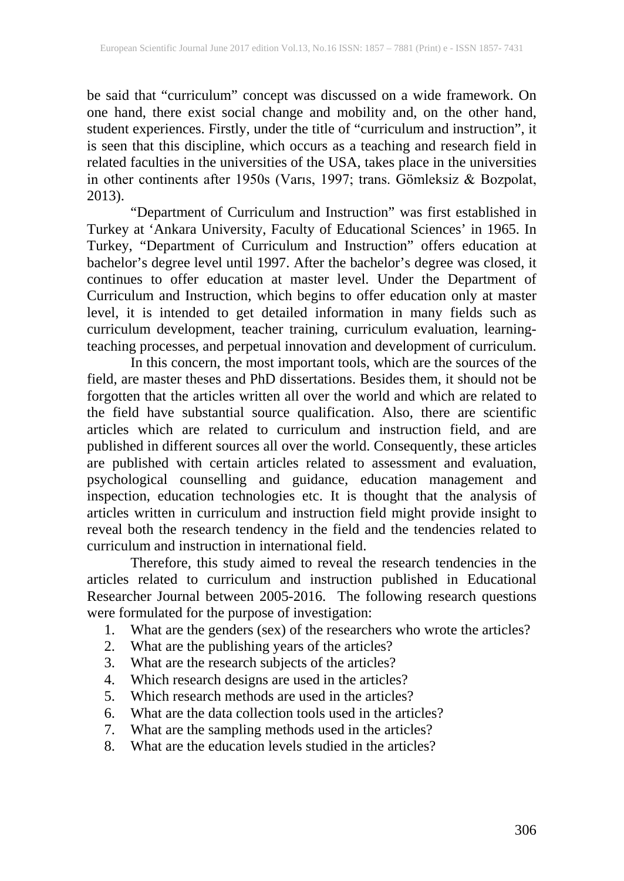be said that "curriculum" concept was discussed on a wide framework. On one hand, there exist social change and mobility and, on the other hand, student experiences. Firstly, under the title of "curriculum and instruction", it is seen that this discipline, which occurs as a teaching and research field in related faculties in the universities of the USA, takes place in the universities in other continents after 1950s (Varıs, 1997; trans. Gömleksiz & Bozpolat, 2013).

"Department of Curriculum and Instruction" was first established in Turkey at 'Ankara University, Faculty of Educational Sciences' in 1965. In Turkey, "Department of Curriculum and Instruction" offers education at bachelor's degree level until 1997. After the bachelor's degree was closed, it continues to offer education at master level. Under the Department of Curriculum and Instruction, which begins to offer education only at master level, it is intended to get detailed information in many fields such as curriculum development, teacher training, curriculum evaluation, learningteaching processes, and perpetual innovation and development of curriculum.

In this concern, the most important tools, which are the sources of the field, are master theses and PhD dissertations. Besides them, it should not be forgotten that the articles written all over the world and which are related to the field have substantial source qualification. Also, there are scientific articles which are related to curriculum and instruction field, and are published in different sources all over the world. Consequently, these articles are published with certain articles related to assessment and evaluation, psychological counselling and guidance, education management and inspection, education technologies etc. It is thought that the analysis of articles written in curriculum and instruction field might provide insight to reveal both the research tendency in the field and the tendencies related to curriculum and instruction in international field.

Therefore, this study aimed to reveal the research tendencies in the articles related to curriculum and instruction published in Educational Researcher Journal between 2005-2016. The following research questions were formulated for the purpose of investigation:

- 1. What are the genders (sex) of the researchers who wrote the articles?
- 2. What are the publishing years of the articles?
- 3. What are the research subjects of the articles?
- 4. Which research designs are used in the articles?
- 5. Which research methods are used in the articles?
- 6. What are the data collection tools used in the articles?
- 7. What are the sampling methods used in the articles?
- 8. What are the education levels studied in the articles?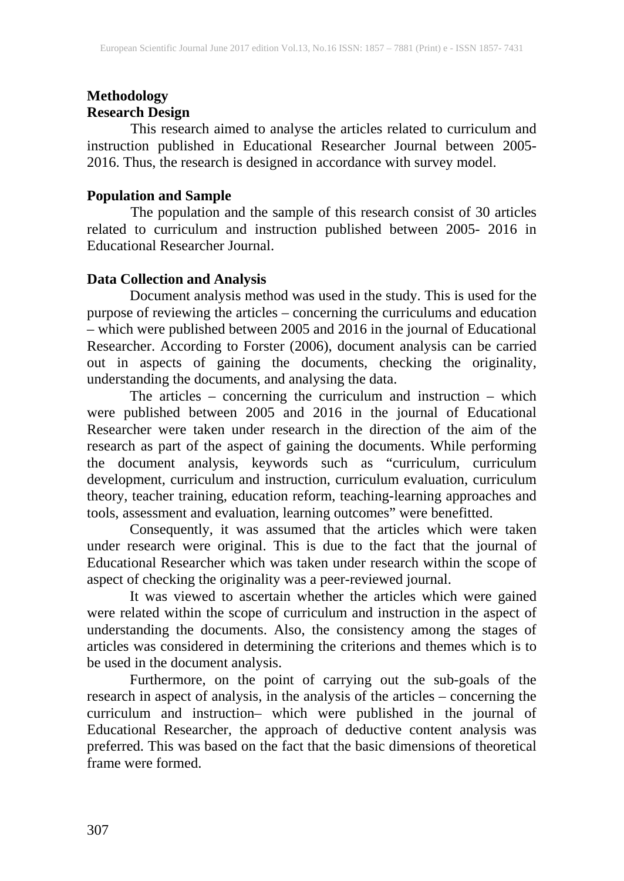## **Methodology Research Design**

This research aimed to analyse the articles related to curriculum and instruction published in Educational Researcher Journal between 2005- 2016. Thus, the research is designed in accordance with survey model.

### **Population and Sample**

The population and the sample of this research consist of 30 articles related to curriculum and instruction published between 2005- 2016 in Educational Researcher Journal.

### **Data Collection and Analysis**

Document analysis method was used in the study. This is used for the purpose of reviewing the articles – concerning the curriculums and education – which were published between 2005 and 2016 in the journal of Educational Researcher. According to Forster (2006), document analysis can be carried out in aspects of gaining the documents, checking the originality, understanding the documents, and analysing the data.

The articles – concerning the curriculum and instruction – which were published between 2005 and 2016 in the journal of Educational Researcher were taken under research in the direction of the aim of the research as part of the aspect of gaining the documents. While performing the document analysis, keywords such as "curriculum, curriculum development, curriculum and instruction, curriculum evaluation, curriculum theory, teacher training, education reform, teaching-learning approaches and tools, assessment and evaluation, learning outcomes" were benefitted.

Consequently, it was assumed that the articles which were taken under research were original. This is due to the fact that the journal of Educational Researcher which was taken under research within the scope of aspect of checking the originality was a peer-reviewed journal.

It was viewed to ascertain whether the articles which were gained were related within the scope of curriculum and instruction in the aspect of understanding the documents. Also, the consistency among the stages of articles was considered in determining the criterions and themes which is to be used in the document analysis.

Furthermore, on the point of carrying out the sub-goals of the research in aspect of analysis, in the analysis of the articles – concerning the curriculum and instruction– which were published in the journal of Educational Researcher, the approach of deductive content analysis was preferred. This was based on the fact that the basic dimensions of theoretical frame were formed.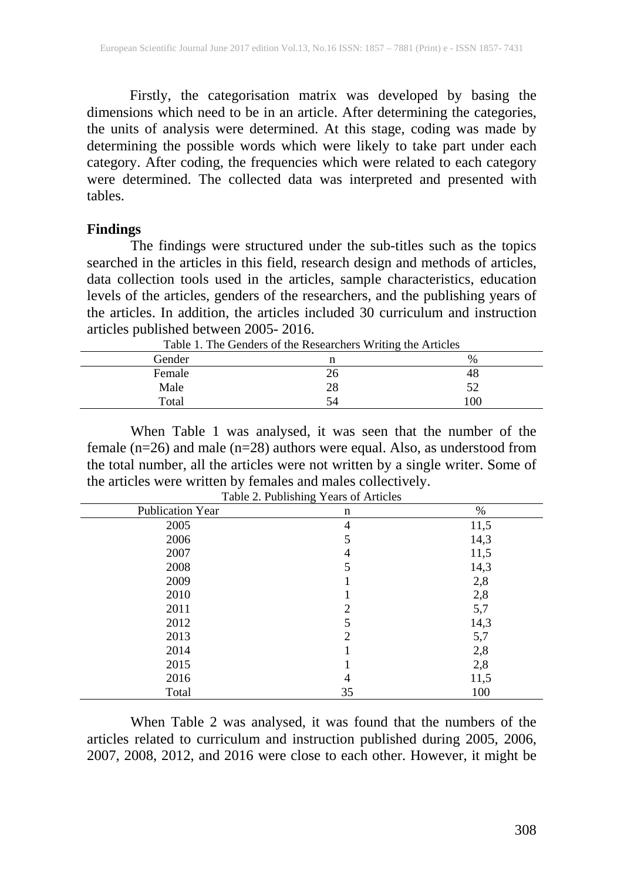Firstly, the categorisation matrix was developed by basing the dimensions which need to be in an article. After determining the categories, the units of analysis were determined. At this stage, coding was made by determining the possible words which were likely to take part under each category. After coding, the frequencies which were related to each category were determined. The collected data was interpreted and presented with tables.

#### **Findings**

The findings were structured under the sub-titles such as the topics searched in the articles in this field, research design and methods of articles, data collection tools used in the articles, sample characteristics, education levels of the articles, genders of the researchers, and the publishing years of the articles. In addition, the articles included 30 curriculum and instruction articles published between 2005- 2016.

| Table 1. The Genders of the Researchers Willing the Articles |    |              |
|--------------------------------------------------------------|----|--------------|
| Gender                                                       |    | $\%$         |
| Female                                                       | 26 | 48           |
| Male                                                         | 28 |              |
| Total                                                        | 54 | $^{\circ}00$ |

Table 1. The Genders of the Researchers Writing the Articles

When Table 1 was analysed, it was seen that the number of the female (n=26) and male (n=28) authors were equal. Also, as understood from the total number, all the articles were not written by a single writer. Some of the articles were written by females and males collectively.

| Publication Year | n              | %    |
|------------------|----------------|------|
| 2005             | $\overline{4}$ | 11,5 |
| 2006             | 5              | 14,3 |
| 2007             | 4              | 11,5 |
| 2008             | 5              | 14,3 |
| 2009             |                | 2,8  |
| 2010             |                | 2,8  |
| 2011             | 2              | 5,7  |
| 2012             | 5              | 14,3 |
| 2013             | 2              | 5,7  |
| 2014             |                | 2,8  |
| 2015             |                | 2,8  |
| 2016             | 4              | 11,5 |
| Total            | 35             | 100  |

Table 2. Publishing Years of Articles

When Table 2 was analysed, it was found that the numbers of the articles related to curriculum and instruction published during 2005, 2006, 2007, 2008, 2012, and 2016 were close to each other. However, it might be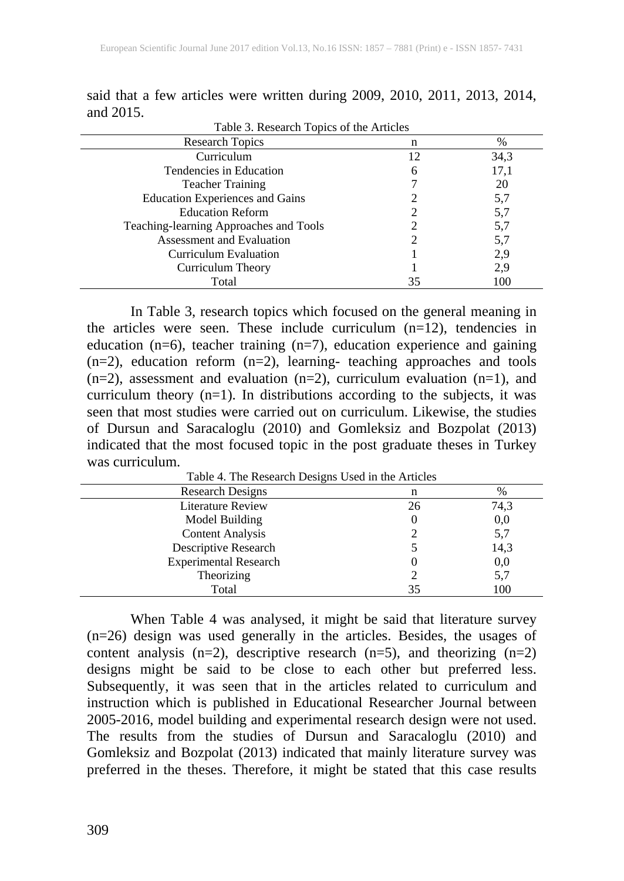| <b>Research Topics</b>                 | n  | $\%$ |
|----------------------------------------|----|------|
| Curriculum                             | 12 | 34,3 |
| Tendencies in Education                | 6  | 17,1 |
| <b>Teacher Training</b>                |    | 20   |
| <b>Education Experiences and Gains</b> |    | 5,7  |
| <b>Education Reform</b>                |    | 5,7  |
| Teaching-learning Approaches and Tools |    | 5,7  |
| Assessment and Evaluation              |    | 5,7  |
| Curriculum Evaluation                  |    | 2,9  |
| Curriculum Theory                      |    | 2,9  |
| Total                                  | 35 | 100  |

said that a few articles were written during 2009, 2010, 2011, 2013, 2014, and 2015.

In Table 3, research topics which focused on the general meaning in the articles were seen. These include curriculum  $(n=12)$ , tendencies in education (n=6), teacher training (n=7), education experience and gaining (n=2), education reform (n=2), learning- teaching approaches and tools  $(n=2)$ , assessment and evaluation  $(n=2)$ , curriculum evaluation  $(n=1)$ , and curriculum theory (n=1). In distributions according to the subjects, it was seen that most studies were carried out on curriculum. Likewise, the studies of Dursun and Saracaloglu (2010) and Gomleksiz and Bozpolat (2013) indicated that the most focused topic in the post graduate theses in Turkey was curriculum.

| Table 4. The Research Designs Used in the Articles |    |      |
|----------------------------------------------------|----|------|
| <b>Research Designs</b>                            | n  | $\%$ |
| Literature Review                                  | 26 | 74,3 |
| Model Building                                     |    | 0,0  |
| <b>Content Analysis</b>                            |    | 5,7  |
| Descriptive Research                               |    | 14,3 |
| <b>Experimental Research</b>                       |    | 0,0  |
| Theorizing                                         |    | 5,7  |
| Total                                              | 35 | 100  |

Table 4. The Research Designs Used in the Articles

When Table 4 was analysed, it might be said that literature survey (n=26) design was used generally in the articles. Besides, the usages of content analysis  $(n=2)$ , descriptive research  $(n=5)$ , and theorizing  $(n=2)$ designs might be said to be close to each other but preferred less. Subsequently, it was seen that in the articles related to curriculum and instruction which is published in Educational Researcher Journal between 2005-2016, model building and experimental research design were not used. The results from the studies of Dursun and Saracaloglu (2010) and Gomleksiz and Bozpolat (2013) indicated that mainly literature survey was preferred in the theses. Therefore, it might be stated that this case results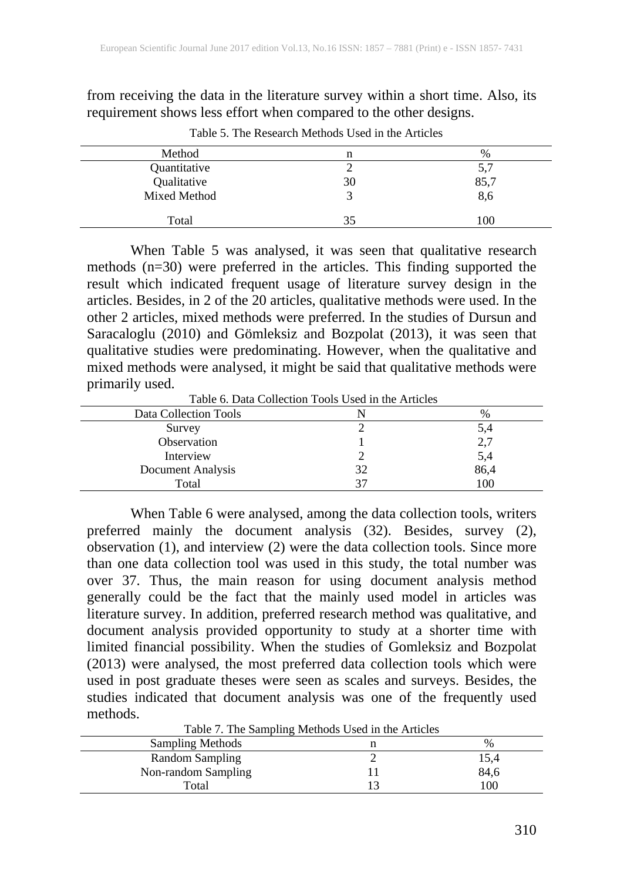from receiving the data in the literature survey within a short time. Also, its requirement shows less effort when compared to the other designs.

| Method       | n  | %    |
|--------------|----|------|
| Quantitative |    | 5,7  |
| Qualitative  | 30 | 85,7 |
| Mixed Method |    | 8,6  |
| Total        | 35 | 100  |

Table 5. The Research Methods Used in the Articles

When Table 5 was analysed, it was seen that qualitative research methods (n=30) were preferred in the articles. This finding supported the result which indicated frequent usage of literature survey design in the articles. Besides, in 2 of the 20 articles, qualitative methods were used. In the other 2 articles, mixed methods were preferred. In the studies of Dursun and Saracaloglu (2010) and Gömleksiz and Bozpolat (2013), it was seen that qualitative studies were predominating. However, when the qualitative and mixed methods were analysed, it might be said that qualitative methods were primarily used.

Table 6. Data Collection Tools Used in the Articles

| THUIV 0. D'AM CONVENTI TOUR CRES IN METHEMER |  |      |
|----------------------------------------------|--|------|
| Data Collection Tools                        |  | %    |
| Survey                                       |  |      |
| Observation                                  |  | ۷.۱  |
| Interview                                    |  | 5,4  |
| Document Analysis                            |  | 86,4 |
| Total                                        |  | 100  |

When Table 6 were analysed, among the data collection tools, writers preferred mainly the document analysis (32). Besides, survey (2), observation (1), and interview (2) were the data collection tools. Since more than one data collection tool was used in this study, the total number was over 37. Thus, the main reason for using document analysis method generally could be the fact that the mainly used model in articles was literature survey. In addition, preferred research method was qualitative, and document analysis provided opportunity to study at a shorter time with limited financial possibility. When the studies of Gomleksiz and Bozpolat (2013) were analysed, the most preferred data collection tools which were used in post graduate theses were seen as scales and surveys. Besides, the studies indicated that document analysis was one of the frequently used methods.<br>Table 7. The Sampling Methods Used in the Articles

| Table 7. The Sampling Methods Used in the Articles |  |      |
|----------------------------------------------------|--|------|
| <b>Sampling Methods</b>                            |  | $\%$ |
| Random Sampling                                    |  | 15.4 |
| Non-random Sampling                                |  | 84,6 |
| Total                                              |  | l 00 |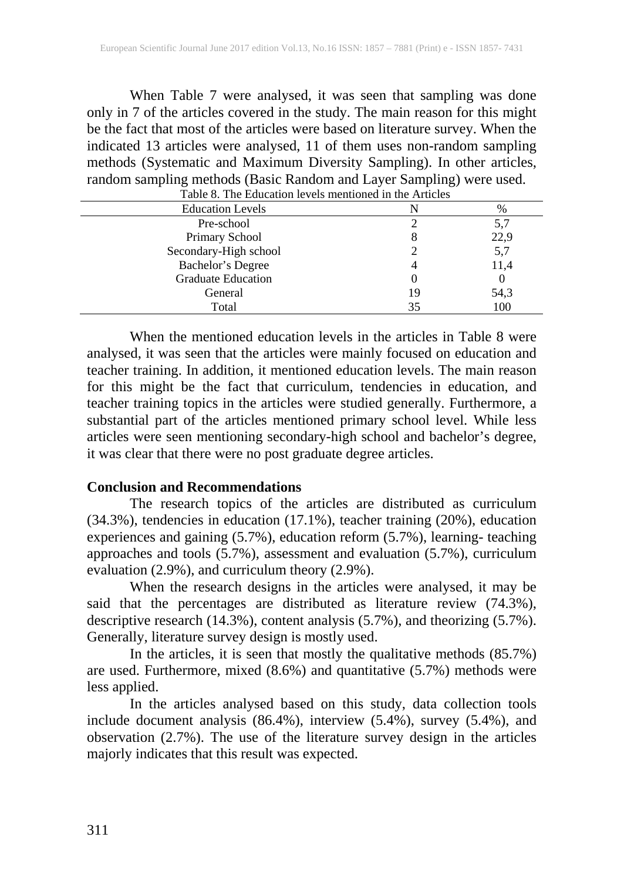When Table 7 were analysed, it was seen that sampling was done only in 7 of the articles covered in the study. The main reason for this might be the fact that most of the articles were based on literature survey. When the indicated 13 articles were analysed, 11 of them uses non-random sampling methods (Systematic and Maximum Diversity Sampling). In other articles, random sampling methods (Basic Random and Layer Sampling) were used.

| Table 8. The Education levels mentioned in the Articles |    |      |
|---------------------------------------------------------|----|------|
| <b>Education Levels</b>                                 |    | $\%$ |
| Pre-school                                              |    | 5.7  |
| Primary School                                          | δ  | 22,9 |
| Secondary-High school                                   |    | 5,7  |
| Bachelor's Degree                                       |    | 11,4 |
| <b>Graduate Education</b>                               |    |      |
| General                                                 | 19 | 54,3 |
| Total                                                   | 35 | 100  |

When the mentioned education levels in the articles in Table 8 were analysed, it was seen that the articles were mainly focused on education and teacher training. In addition, it mentioned education levels. The main reason for this might be the fact that curriculum, tendencies in education, and teacher training topics in the articles were studied generally. Furthermore, a substantial part of the articles mentioned primary school level. While less articles were seen mentioning secondary-high school and bachelor's degree, it was clear that there were no post graduate degree articles.

#### **Conclusion and Recommendations**

The research topics of the articles are distributed as curriculum (34.3%), tendencies in education (17.1%), teacher training (20%), education experiences and gaining (5.7%), education reform (5.7%), learning- teaching approaches and tools (5.7%), assessment and evaluation (5.7%), curriculum evaluation (2.9%), and curriculum theory (2.9%).

When the research designs in the articles were analysed, it may be said that the percentages are distributed as literature review (74.3%), descriptive research (14.3%), content analysis (5.7%), and theorizing (5.7%). Generally, literature survey design is mostly used.

In the articles, it is seen that mostly the qualitative methods (85.7%) are used. Furthermore, mixed (8.6%) and quantitative (5.7%) methods were less applied.

In the articles analysed based on this study, data collection tools include document analysis (86.4%), interview (5.4%), survey (5.4%), and observation (2.7%). The use of the literature survey design in the articles majorly indicates that this result was expected.